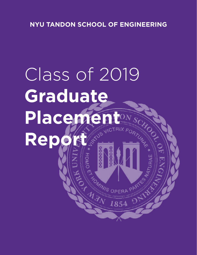# Class of 2019 **Graduate** Placement HOOL Report Assessment Report of the Manus OPE R AN DE CAMINO OPERA

**ARANT** 

PART

OHO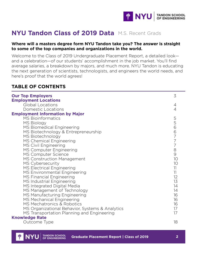

# **NYU Tandon Class of 2019 Data** M.S. Recent Grads

#### **Where will a masters degree form NYU Tandon take you? The answer is straight to some of the top companies and organizations in the world.**

Welcome to the Class of 2019 Undergraduate Placement Report, a detailed look and a celebration—of our students' accomplishment in the job market. You'll find average salaries, a breakdown by majors, and much more. NYU Tandon is educating the next generation of scientists, technologists, and engineers the world needs, and here's proof that the world agrees!

#### **TABLE OF CONTENTS**

| <b>Our Top Employers</b><br><b>Employment Locations</b> | 3      |
|---------------------------------------------------------|--------|
| Global Locations                                        | 4      |
| Domestic Locations                                      | 4      |
| <b>Employment Information by Major</b>                  |        |
| <b>MS Bioinformatics</b>                                | 5      |
| <b>MS Biology</b>                                       |        |
|                                                         |        |
| MS Biomedical Engineering                               |        |
| MS Biotechnology & Entrepreneurship                     |        |
| MS Biotechnology                                        |        |
| MS Chemical Engineering                                 | 566777 |
| MS Civil Engineering                                    |        |
| MS Computer Engineering                                 | 8<br>9 |
| MS Computer Science                                     |        |
| MS Construction Management                              | 10     |
| MS Cybersecurity                                        | 10     |
| MS Electrical Engineering                               | 11     |
| MS Environmental Engineering                            | 11     |
| <b>MS Financial Engineering</b>                         | 12     |
| MS Industrial Engineering                               | 13     |
| MS Integrated Digital Media                             | 14     |
| MS Management of Technology                             | 14     |
| MS Manufacturing Engineering                            | 16     |
| MS Mechanical Engineering                               | 16     |
| MS Mechatronics & Robotics                              | 16     |
| MS Organizational Behavior, Systems & Analytics         | 17     |
| MS Transportation Planning and Engineering              | 17     |
| <b>Knowledge Rate</b>                                   |        |
| Outcome Type                                            | 18     |

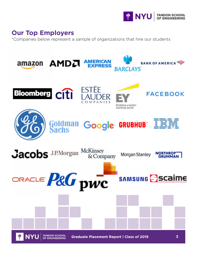

# **Our Top Employers**

\*Companies below represent a sample of organizations that hire our students

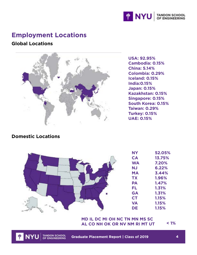

# **Employment Locations**

#### **Global Locations**



**USA: 92.95% Cambodia: 0.15% China: 5.14% Colombia: 0.29% Iceland: 0.15% India:0.15% Japan: 0.15% Kazakhstan: 0.15% Singapore: 0.15% South Korea: 0.15% Taiwan: 0.29% Turkey: 0.15% UAE: 0.15%**

#### **Domestic Locations**



#### **< 1% AL CO NH OK OR NV NM RI MT UTMD IL DC MI OH NC TN MN MS SC**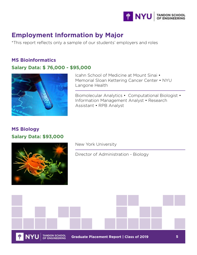

# **Employment Information by Major**

\*This report reflects only a sample of our students' employers and roles

#### **MS Bioinformatics Salary Data: \$ 76,000 - \$95,000**



Icahn School of Medicine at Mount Sinai • Memorial Sloan Kettering Cancer Center • NYU Langone Health

Biomolecular Analytics • Computational Biologist • Information Management Analyst • Research Assistant • RPB Analyst

#### **MS Biology Salary Data: \$93,000**



New York University

Director of Administration - Biology

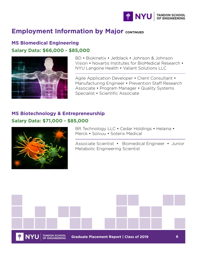

#### **MS Biomedical Engineering Salary Data: \$66,000 - \$85,000**



BD • Biokinetix • Jetblack • Johnson & Johnson Vision • Novartis Institutes for BioMedical Research • NYU Langone Health • Valiant Solutions LLC

Agile Application Developer • Client Consultant • Manufacturing Engineer • Prevention Staff Research Associate • Program Manager • Quality Systems Specialist • Scientific Associate

#### **MS Biotechnology & Entrepreneurship Salary Data: \$71,000 - \$85,000**



BR Technology LLC • Cedar Holdings • Helaina • Merck • Solvuu • Soterix Medical

Associate Scientist • Biomedical Engineer • Junior Metabolic Engineering Scientist

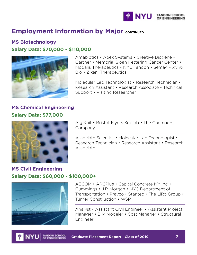

**MS Biotechnology Salary Data: \$70,000 - \$110,000**



Amabiotics • Apex Systems • Creative Biogene • Gartner • Memorial Sloan Kettering Cancer Center • Modalis Therapeutics • NYU Tandon • Sema4 • Xylyx Bio • Zikani Therapeutics

Molecular Lab Technologist • Research Technician • Research Assistant • Research Associate • Technical Support • Visiting Researcher

#### **MS Chemical Engineering Salary Data: \$77,000**



AlgiKnit • Bristol-Myers Squibb • The Chemours Company

Associate Scientist • Molecular Lab Technologist • Research Technician • Research Assistant • Research Associate

#### **MS Civil Engineering Salary Data: \$60,000 - \$100,000+**



AECOM • ARCPlus • Capital Concrete NY Inc. • Cummings • J.P. Morgan • NYC Department of Transportation • Pravco • Stantec • The LiRo Group • Turner Construction • WSP

Analyst • Assistant Civil Engineer • Assistant Project Manager • BIM Modeler • Cost Manager • Structural Engineer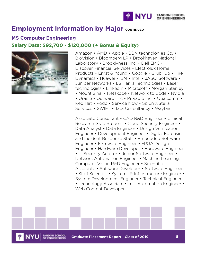

#### **MS Computer Engineering**

#### **Salary Data: \$92,700 - \$120,000 (+ Bonus & Equity)**



Amazon • AMD • Apple • BBN technologies Co. • BioVision • Bloomberg LP • Brookhaven National Laboratory • Brooklyness, Inc. • Dell EMC • Discover Financial Services • Electrolux Home Products • Ernst & Young • Google • GrubHub • Hire Dynamics • Huawei • IBM • Intel • JASCI Software • Juniper Networks • L3 Harris Technologies • Laser technologies • LinkedIn • Microsoft • Morgan Stanley • Mount Sinai • Netskope • Network to Code • Nvidia

• Oracle • Outward, Inc • Pi Radio Inc. • Qualcomm • Red Hat • Rodo • Service Now • SplunkvStellar Services • SWIFT • Tata Consultancy • Wayfair

Associate Consultant • CAD R&D Engineer • Clinical Research Grad Student • Cloud Security Engineer • Data Analyst • Data Engineer • Design Verification Engineer • Development Engineer • Digital Forensics and Incident Response Staff • Embedded Software Engineer • Firmware Engineer • FPGA Design Engineer • Hardware Developer • Hardware Engineer • IT Security Auditor • Junior Software Engineer • Network Automation Engineer • Machine Learning, Computer Vision R&D Engineer • Scientific Associate • Software Developer • Software Engineer • Staff Scientist • Systems & Infrastructure Engineer •

System Development Engineer • Technical Engineer • Technology Associate • Test Automation Engineer •

**Graduate Placement Report | Class of 2019 8**

Web Content Developer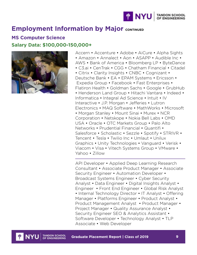

#### **MS Computer Science Salary Data: \$100,000-150,000+**



Accern • Accenture • Adobe • AiCure • Alpha Sights • Amazon • Annalect • Aon • ASAPP • Audible Inc • AWS • Bank of America • Bloomberg LP • ByteDance • C3.ai • CenTrak • CGG • Chatham Financial • Citadel • Citrix • Clarity Insights • CNBC • Cognizant • Deutsche Bank • EA • EPAM Systems • Ericsson • Expedia Group • Facebook • Fast Enterprises • Flatiron Health • Goldman Sachs • Google • GrubHub • Henderson Land Group • Hitachi Vantara • Indeed • Informatica • Integral Ad Science • Intuit • IV Interactive • J.P. Morgan • Jefferies • Lutron Electronics • MAQ Software • MathWorks • Microsoft • Morgan Stanley • Mount Sinai • Murex • NCR Corporation • Netskope • Nokia Bell Labs • OMD USA • Oracle • OTC Markets Group • Palo Alto Networks • Prudential Financial • Quantifi • Salesforce • Scholastic • Sezzle • Spotify • STRIVR • Tencent • Tesla • Twilio Inc • Umlaut • Unilux Graphics • Unity Technologies • Vanguard • Verisk • Viacom • Visa • Vitech Systems Group • VMware • Yahoo • Zillow

API Developer • Applied Deep Learning Research Consultant • Associate Product Manager • Associate Security Engineer • Automation Developer • Broadcast Systems Engineer • Cyber Security Analyst • Data Engineer • Digital Insights Analyst • Engineer • Front End Engineer • Global Risk Analyst • Internal Technology Director • IT Analyst • Offering Manager • Platforms Engineer • Product Analyst • Product Management Analyst • Product Manager • Project Manager • Quality Assurance Analyst • Security Engineer SEO & Analytics Assistant • Software Developer • Technology Analyst • TLP Associate • Web Developer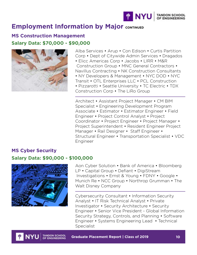

#### **MS Construction Management Salary Data: \$70,000 - \$90,000**



Alba Services • Arup • Con Edison • Curtis Partition Corp • Dept of Citywide Admin Services • Dragados • Elicc Americas Corp • Jacobs • LIRR • M&R Construction Group • MNC General Contractors • Navillus Contracting • NK Construction Consultants • NY Developers & Management • NYC DOD • NYC Transit • OTL Enterprises LLC • PCL Construction • Pizzarotti • Seattle University • TC Electric • TDX Construction Corp • The LiRo Group

Architect • Assistant Project Manager • CM BIM Specialist • Engineering Development Program Associate • Estimator • Estimator Engineer • Field Engineer • Project Control Analyst • Project Coordinator • Project Engineer • Project Manager • Project Superintendent • Resident Engineer Project Manager • Rail Designer • Staff Engineer • Structural Engineer • Transportation Specialist • VDC Engineer

#### **MS Cyber Security Salary Data: \$90,000 - \$100,000**



Aon Cyber Solution • Bank of America • Bloomberg LP • Capital Group • Defiant • DigiStream Investigations • Ernst & Young • FDNY • Google • Munich Re • NCC Group • Northrop Grumman • The Walt Disney Company

Cybersecurity Consultant • Information Security Analyst • IT Risk Technical Analyst • Private Investigator • Security Architecture • Security Engineer • Senior Vice President - Global Information Security Strategy, Controls, and Planning • Software Engineer • Systems Engineering Lead • Technical Specialist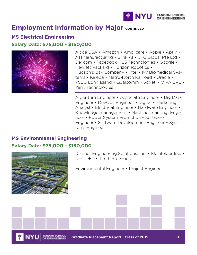

#### **MS Electrical Engineering Salary Data: \$75,000 - \$150,000**



Altice USA • Amazon • Amplicare • Apple • Aptiv • ATI Manufacturing • Blink AI • CTC Global Pte Ltd • Dexcom • Facebook • G3 Technologies • Google • Hewlett Packard • Horizon Robotics • Hudson's Bay Company • Intel • Ivy Biomedical Systems • Kalepa • Metro-North Railroad • Oracle • PSEG Long Island • Qualcomm • Sogeti • VIVA EVE • Yank Technologies

Algorithm Engineer • Associate Engineer • Big Data Engineer • DevOps Engineer • Digital • Marketing Analyst • Electrical Engineer • Hardware Engineer • Knowledge management • Machine Learning Engineer • Power System Protection • Software Engineer • Software Development Engineer • Systems Engineer

#### **MS Environmental Engineering Salary Data: \$75,000 - \$150,000**



Distinct Engineering Solutions, Inc. • Kleinfelder Inc. • NYC DEP • The LiRo Group

Environmental Engineer • Project Engineer

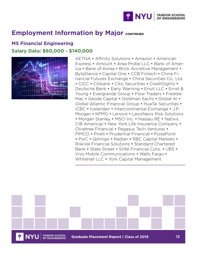

#### **MS Financial Engineering Salary Data: \$60,000 - \$140,000**



AETNA • Affinity Solutions • Amazon • American Express • Amount • Area Probe LLC • Bank of America • Bank of Korea • Brick Accretive Management • ByteDance • Capital One • CCB Fintech • China Financial Futures Exchange • China Securities Co., Ltd. • CICC • Citibank • Citic Securities • CreditSights • Deutsche Bank • Early Warning • Enuit LLC • Ernst & Young • Evergrande Group • Flow Traders • Freddie Mac • Geode Capital • Goldman Sachs • Global AI • Global Atlantic Financial Group • HuaTai Securities • ICBC • Icelandair • Intercontinental Exchange • J.P. Morgan • KPMG • Lenovo • LexisNexis Risk Solutions • Morgan Stanley • MSCI Inc. • Nassau RE • Natixis CIB Americas • New York Life Insurance Company • Olivetree FInancial • Pegasus Tech Ventures • PIMCO • Pirelli • Prudential Financial • PulsePoint • PwC • Qontigo • Radian • RBC Capital Markets • RiskVal Financial Solutions • Standard Chartered Bank • State Street • Stifel Financial Corp. • UBS • Vivo Mobile Communications • Wells Fargo • Whitehall LLC • York Capital Management

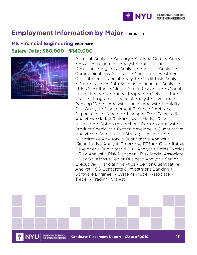

#### **MS Financial Engineering CONTINUED Salary Data: \$60,000 - \$140,000**



Account Analyst • Actuary • Analytic Quality Analyst • Asset Management Analyst • Automation Developer • Big Data Analyst • Business Analyst • Communications Assistant • Corporate Investment Quantitative Financial Analyst • Credit Risk Analyst • Data Analyst • Data Scientist • Financial Analyst • FRM Consultant • Global Alpha Researcher • Global Future Leader Rotational Program • Global Future Leaders Program - Financial Analyst • Investment Banking Winter Analyst • Junior Analyst • Liquidity Risk Analyst • Management Trainee of Actuarial Department • Manager • Manager, Data Science & Analytics •Market Risk Analyst • Market Risk Associate • Option researcher • Portfolio Analyst • Product Specialist • Python developer • Quantitative Analytics • Quantitative Strategist Associate • Quantitative Advisory • Quantitative Analyst • Quantitative Analyst, Enterprise FP&A • Quantitative Developer • Quantitative Risk Analyst • Rates Exotics • Risk Analyst • Risk Manager • Risk Model Associate • Risk Solutions • Senior Business Analyst • Senior Executive-Financial Analytics • Senior Quantitative Analyst • SG Corporate & Investment Banking • Software Engineer • Systems Model Associate • Trader • Trading Analyst

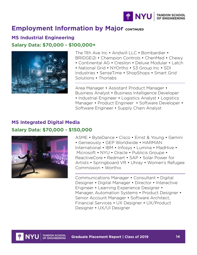

#### **MS Industrial Engineering Salary Data: \$70,000 - \$100,000+**



The 11th Ave Inc • Andwill LLC • Bombardier • BRIDGEi2i • Champion Controls • ChenMed • Chewy

• Continental AG • Cresilon • Deluxe Modular • Latch • National Grid • NYOrtho • S3 Group Inc • SDI

Industries • SenseTime • ShopShops • Smart Grid Solutions • Thorlabs

Area Manager • Assistant Product Manager • Business Analyst • Business Intelligence Developer • Industrial Engineer • Logistics Analyst • Logistics Manager • Product Engineer • Software Developer • Software Engineer • Supply Chain Analyst

#### **MS Integrated Digital Media Salary Data: \$70,000 - \$150,000**



ASME • ByteDance • Cisco • Ernst & Young • Gemini • Genieously • GEP Worldwide • HARMAN International • IBM • Infosys • Lumina • MadHive • Microsoft • NYU • Oracle • Publicis Groupe • ReactiveCore • Redmart • SAP • Solar Power for Artists • Springboard VR • Uhray • Women's Refugee Commission • Worthix

Communications Manager • Consultant • Digital Designer • Digital Manager • Director • Interactive Engineer • Learning Experience Designer • Manager, Automation Systems • Product Designer • Senior Account Manager • Software Architect, Financial Services • UX Designer • UX/Product Designer • UX/UI Designer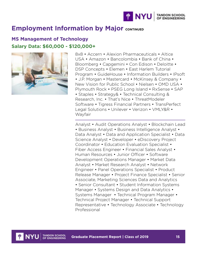

#### **MS Management of Technology Salary Data: \$60,000 - \$120,000+**



8x8 • Accern • Alexion Pharmaceuticals • Altice USA • Amazon • Bancolombia • Bank of China • Bloomberg • Capgemini • Con Edison • Deloitte • DSP Concepts • Elemen • East Harlem Tutorial Program • GuideHouse • Information Builders • IPsoft • J.P. Morgan • Mastercard • McKinsey & Company • New Vision for Public School • Nielsen • OMD USA • Plymouth Rock • PSEG Long Island • RxSense • SAP • Staples • Strategy& • Technical Consulting & Research, Inc. • That's Nice • ThreatModeler Software • Tigress Financial Partners • TransPerfect Legal Solutions • Unilever • Verizon • VMLY&R • Wayfair

Analyst • Audit Operations Analyst • Blockchain Lead • Business Analyst • Business Intelligence Analyst • Data Analyst • Data and Application Specialist • Data Science Analyst • Developer • eDiscovery Project Coordinator • Education Evaluation Specialist • Fiber Access Engineer • Financial Sales Analyst • Human Resources • Junior Officer • Software Development Operations Manager • Market Data Analyst • Market Research Analyst • Network Engineer • Panel Operations Specialist • Product Release Manager • Project Finance Specialist • Senior Associate, Marketing Sciences Data and Analytics • Senior Consultant • Student Information Systems Manager • Systems Design and Data Analytics • Systems Manager • Technical Program Manager • Technical Project Manager • Technical Support Representative • Technology Associate • Technology Professional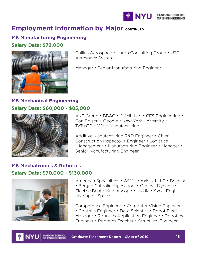

#### **MS Manufacturing Engineering**

#### **Salary Data: \$72,000**



Collins Aerospace • Huron Consulting Group • UTC Aerospace Systems

Manager • Senior Manufacturing Engineer

#### **MS Mechanical Engineering Salary Data: \$60,000 - \$85,000**



AKF Group • BBAC • CMML Lab • CFS Engineering • Con Edison • Google • New York University • TyTus3D • Wirtz Manufacturing

Additive Manufacturing R&D Engineer • Chief Construction Inspector • Engineer • Logistics Management • Manufacturing Engineer • Manager • Senior Manufacturing Engineer

#### **MS Mechatronics & Robotics Salary Data: \$70,000 - \$130,000**



American Specialities • ASML • Axis NJ LLC • Beehex • Bergen Catholic Highschool • General Dynamics Electric Boat • Knightscope • Nvidia • Sycal Engineering • zSpace

Competence Engineer • Computer Vision Engineer • Controls Engineer • Data Scientist • Robot Fleet Manager • Robotics Application Engineer • Robotics Engineer • Robotics Teacher • Structural Engineer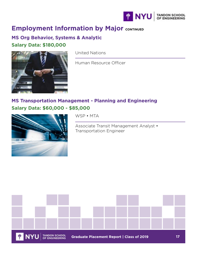

#### **MS Org Behavior, Systems & Analytic Salary Data: \$180,000**



United Nations

Human Resource Officer

#### **MS Transportation Management - Planning and Engineering Salary Data: \$60,000 - \$85,000**



WSP • MTA

Associate Transit Management Analyst • Transportation Engineer

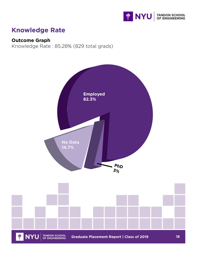

# **Knowledge Rate**

#### **Outcome Graph**

Knowledge Rate : 85.28% (829 total grads)